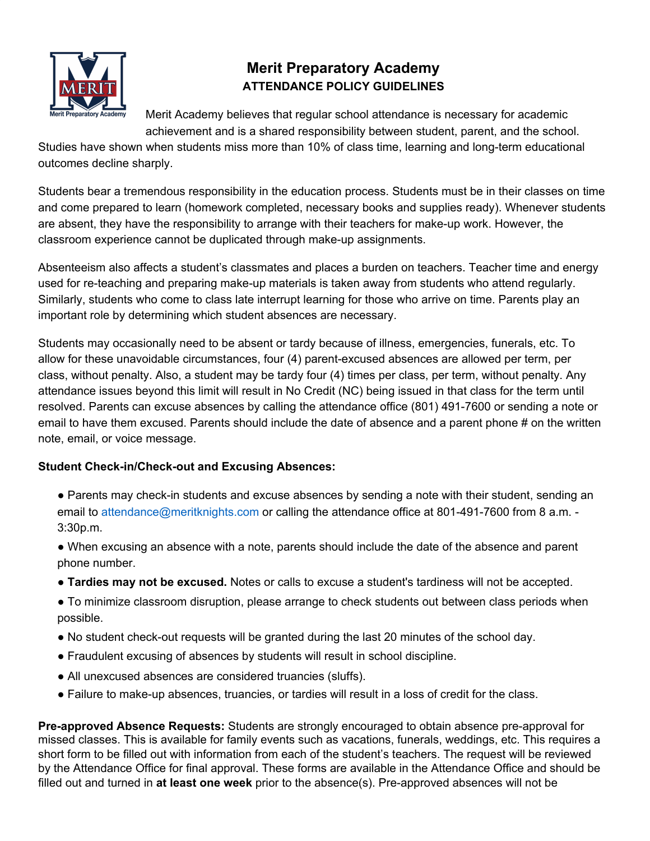

# **Merit Preparatory Academy ATTENDANCE POLICY GUIDELINES**

Merit Academy believes that regular school attendance is necessary for academic achievement and is a shared responsibility between student, parent, and the school.

Studies have shown when students miss more than 10% of class time, learning and long-term educational outcomes decline sharply.

Students bear a tremendous responsibility in the education process. Students must be in their classes on time and come prepared to learn (homework completed, necessary books and supplies ready). Whenever students are absent, they have the responsibility to arrange with their teachers for make-up work. However, the classroom experience cannot be duplicated through make-up assignments.

Absenteeism also affects a student's classmates and places a burden on teachers. Teacher time and energy used for re-teaching and preparing make-up materials is taken away from students who attend regularly. Similarly, students who come to class late interrupt learning for those who arrive on time. Parents play an important role by determining which student absences are necessary.

Students may occasionally need to be absent or tardy because of illness, emergencies, funerals, etc. To allow for these unavoidable circumstances, four (4) parent-excused absences are allowed per term, per class, without penalty. Also, a student may be tardy four (4) times per class, per term, without penalty. Any attendance issues beyond this limit will result in No Credit (NC) being issued in that class for the term until resolved. Parents can excuse absences by calling the attendance office (801) 491-7600 or sending a note or email to have them excused. Parents should include the date of absence and a parent phone # on the written note, email, or voice message.

# **Student Check-in/Check-out and Excusing Absences:**

- Parents may check-in students and excuse absences by sending a note with their student, sending an email to attendance@meritknights.com or calling the attendance office at 801-491-7600 from 8 a.m. - 3:30p.m.
- When excusing an absence with a note, parents should include the date of the absence and parent phone number.
- **Tardies may not be excused.** Notes or calls to excuse a student's tardiness will not be accepted.
- To minimize classroom disruption, please arrange to check students out between class periods when possible.
- No student check-out requests will be granted during the last 20 minutes of the school day.
- Fraudulent excusing of absences by students will result in school discipline.
- All unexcused absences are considered truancies (sluffs).
- Failure to make-up absences, truancies, or tardies will result in a loss of credit for the class.

**Pre-approved Absence Requests:** Students are strongly encouraged to obtain absence pre-approval for missed classes. This is available for family events such as vacations, funerals, weddings, etc. This requires a short form to be filled out with information from each of the student's teachers. The request will be reviewed by the Attendance Office for final approval. These forms are available in the Attendance Office and should be filled out and turned in **at least one week** prior to the absence(s). Pre-approved absences will not be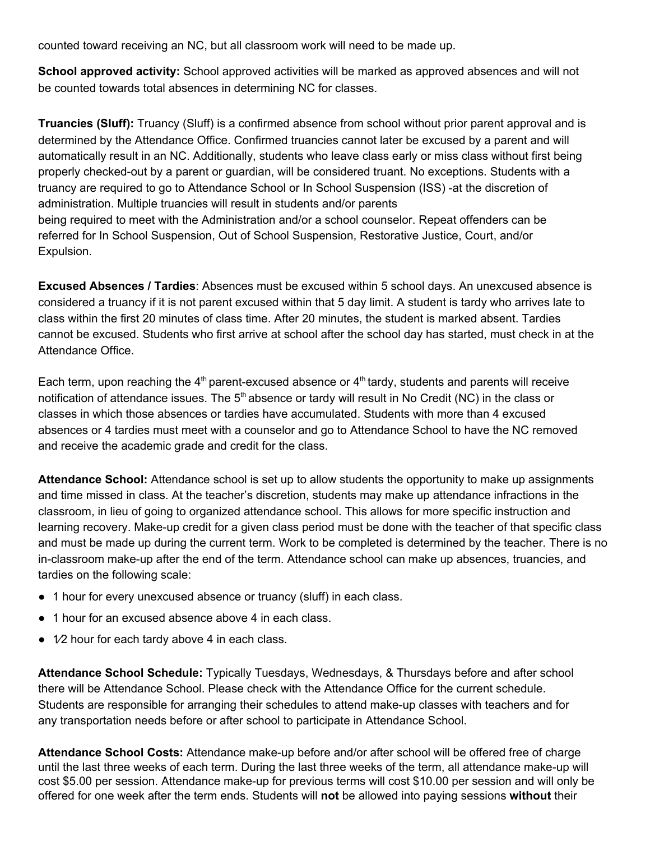counted toward receiving an NC, but all classroom work will need to be made up.

**School approved activity:** School approved activities will be marked as approved absences and will not be counted towards total absences in determining NC for classes.

**Truancies (Sluff):** Truancy (Sluff) is a confirmed absence from school without prior parent approval and is determined by the Attendance Office. Confirmed truancies cannot later be excused by a parent and will automatically result in an NC. Additionally, students who leave class early or miss class without first being properly checked-out by a parent or guardian, will be considered truant. No exceptions. Students with a truancy are required to go to Attendance School or In School Suspension (ISS) -at the discretion of administration. Multiple truancies will result in students and/or parents being required to meet with the Administration and/or a school counselor. Repeat offenders can be referred for In School Suspension, Out of School Suspension, Restorative Justice, Court, and/or Expulsion.

**Excused Absences / Tardies**: Absences must be excused within 5 school days. An unexcused absence is considered a truancy if it is not parent excused within that 5 day limit. A student is tardy who arrives late to class within the first 20 minutes of class time. After 20 minutes, the student is marked absent. Tardies cannot be excused. Students who first arrive at school after the school day has started, must check in at the Attendance Office.

Each term, upon reaching the  $4<sup>th</sup>$  parent-excused absence or  $4<sup>th</sup>$  tardy, students and parents will receive notification of attendance issues. The  $5<sup>th</sup>$  absence or tardy will result in No Credit (NC) in the class or classes in which those absences or tardies have accumulated. Students with more than 4 excused absences or 4 tardies must meet with a counselor and go to Attendance School to have the NC removed and receive the academic grade and credit for the class.

**Attendance School:** Attendance school is set up to allow students the opportunity to make up assignments and time missed in class. At the teacher's discretion, students may make up attendance infractions in the classroom, in lieu of going to organized attendance school. This allows for more specific instruction and learning recovery. Make-up credit for a given class period must be done with the teacher of that specific class and must be made up during the current term. Work to be completed is determined by the teacher. There is no in-classroom make-up after the end of the term. Attendance school can make up absences, truancies, and tardies on the following scale:

- 1 hour for every unexcused absence or truancy (sluff) in each class.
- 1 hour for an excused absence above 4 in each class.
- $\bullet$  1⁄2 hour for each tardy above 4 in each class.

**Attendance School Schedule:** Typically Tuesdays, Wednesdays, & Thursdays before and after school there will be Attendance School. Please check with the Attendance Office for the current schedule. Students are responsible for arranging their schedules to attend make-up classes with teachers and for any transportation needs before or after school to participate in Attendance School.

**Attendance School Costs:** Attendance make-up before and/or after school will be offered free of charge until the last three weeks of each term. During the last three weeks of the term, all attendance make-up will cost \$5.00 per session. Attendance make-up for previous terms will cost \$10.00 per session and will only be offered for one week after the term ends. Students will **not** be allowed into paying sessions **without** their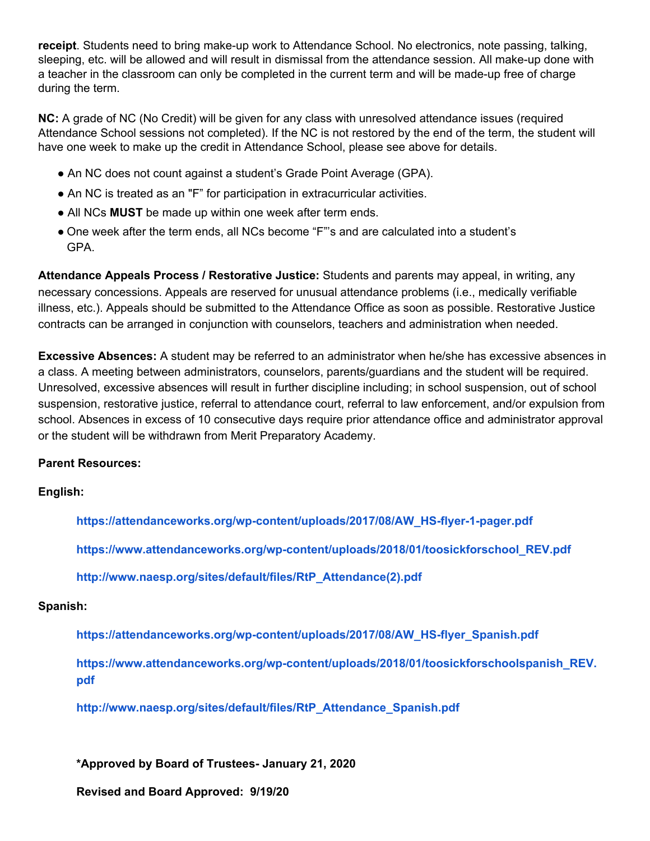**receipt**. Students need to bring make-up work to Attendance School. No electronics, note passing, talking, sleeping, etc. will be allowed and will result in dismissal from the attendance session. All make-up done with a teacher in the classroom can only be completed in the current term and will be made-up free of charge during the term.

**NC:** A grade of NC (No Credit) will be given for any class with unresolved attendance issues (required Attendance School sessions not completed). If the NC is not restored by the end of the term, the student will have one week to make up the credit in Attendance School, please see above for details.

- An NC does not count against a student's Grade Point Average (GPA).
- An NC is treated as an "F" for participation in extracurricular activities.
- All NCs **MUST** be made up within one week after term ends.
- One week after the term ends, all NCs become "F"'s and are calculated into a student's GPA.

**Attendance Appeals Process / Restorative Justice:** Students and parents may appeal, in writing, any necessary concessions. Appeals are reserved for unusual attendance problems (i.e., medically verifiable illness, etc.). Appeals should be submitted to the Attendance Office as soon as possible. Restorative Justice contracts can be arranged in conjunction with counselors, teachers and administration when needed.

**Excessive Absences:** A student may be referred to an administrator when he/she has excessive absences in a class. A meeting between administrators, counselors, parents/guardians and the student will be required. Unresolved, excessive absences will result in further discipline including; in school suspension, out of school suspension, restorative justice, referral to attendance court, referral to law enforcement, and/or expulsion from school. Absences in excess of 10 consecutive days require prior attendance office and administrator approval or the student will be withdrawn from Merit Preparatory Academy.

### **Parent Resources:**

### **English:**

**https://attendanceworks.org/wp-content/uploads/2017/08/AW\_HS-flyer-1-pager.pdf**

**https://www.attendanceworks.org/wp-content/uploads/2018/01/toosickforschool\_REV.pdf**

**http://www.naesp.org/sites/default/files/RtP\_Attendance(2).pdf**

### **Spanish:**

**https://attendanceworks.org/wp-content/uploads/2017/08/AW\_HS-flyer\_Spanish.pdf**

**https://www.attendanceworks.org/wp-content/uploads/2018/01/toosickforschoolspanish\_REV. pdf**

**http://www.naesp.org/sites/default/files/RtP\_Attendance\_Spanish.pdf**

**\*Approved by Board of Trustees- January 21, 2020**

**Revised and Board Approved: 9/19/20**